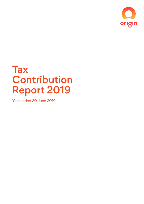

# **Tax** Contribution Report 2019

Year ended 30 June 2019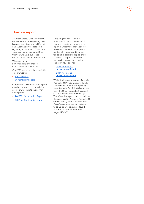### How we report

At Origin Energy Limited (Origin), our 2019 corporate reporting suite is comprised of our Annual Report and Sustainability Report. As a signatory to the Board of Taxation's voluntary Tax Transparency Code, this year we have published our fourth Tax Contribution Report.

We describe our non-financial performance in our Sustainability Report.

Our 2019 reporting suite is available on our website:

- [Annual Report](https://www.originenergy.com.au/about/investors-media/reports-and-results/annual-report-shareholder-review-2019.html)
- [Sustainability Report](https://www.originenergy.com.au/about/sustainability/sustainability-reports.html)

Our previous tax contribution reports can also be found on our website, see below for links to the previous two reports:

- [2018 Tax Contribution Report](https://www.originenergy.com.au/about/investors-media/reports-and-results/tax-contribution-report-2018.html)
- [2017 Tax Contribution Report](https://www.originenergy.com.au/about/investors-media/reports-and-results/tax-contribution-report-2017.html)

Following the release of the Australian Taxation Office's (ATO) yearly corporate tax transparency report in December each year, we provide a statement that explains our taxable income and income tax payable positions as published in the ATO's report. See below for links to the previous two Tax Transparency Reports:

2

- 2018 Income Tax **[Transparency Report](https://www.originenergy.com.au/about/investors-media/reports-and-results/income-tax-transparency-report-2018.html)**
- [2017 Income Tax](https://www.originenergy.com.au/about/investors-media/reports-and-results/income-tax-transparency-report-2017.html)  **[Transparency Report](https://www.originenergy.com.au/about/investors-media/reports-and-results/income-tax-transparency-report-2017.html)**

While disclosures relating to Australia Pacific LNG Pty Ltd (Australia Pacific LNG) are included in our reporting suite, Australia Pacific LNG is excluded from the Origin Group for this report as it is not wholly owned by Origin. Therefore, this report does not include the taxes paid by Australia Pacific LNG (and its wholly owned subsidiaries). Origin's controlled entities, referred to as Origin Group, can be found in our *2019 Annual Report* on pages 145–147.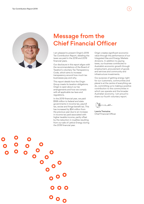

## Message from the Chief Financial Officer

I am pleased to present Origin's 2019 Tax Contribution Report, detailing the taxes we paid in the 2018 and 2019 financial years.

Our disclosure in this report aligns with the recommendations of the Board of Taxation's voluntary Tax Transparency Code, which aims to increase transparency around how much tax businesses pay and why.

This report details how the Origin Group meets its taxation obligations. Origin is open about our tax arrangements and how we comply with all applicable tax laws and regulations.

In the 2019 financial year, we paid \$168 million to federal and state governments in income tax, payroll tax, excise and fringe benefit tax. This has increased by \$54 million from the previous year due to an increase in income tax paid associated with higher taxable income, partly offset by the reduction in royalties resulting from our sale of Lattice Energy during the 2018 financial year.

Origin creates significant economic value through the performance of our Integrated Gas and Energy Markets divisions. In addition to paying taxes, our business contributes to Australia's economic growth through employment, procurement of goods and services and community and infrastructure investments.

Our purpose of getting energy right for our customers, communities and planet is at the centre of everything we do, committing us to making a positive contribution to the communities in which we operate and the broader Australian economy. I am proud to share our fourth voluntary report.

Lawrie Tremaine Chief Financial Officer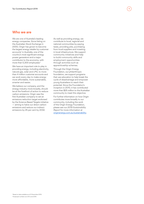## Who we are

We are one of Australia's leading energy companies. Since listing on the Australian Stock Exchange in 2000, Origin has grown to become the largest energy retailer by customer accounts<sup>1</sup> in Australia, one of the country's most significant energy power generators and a major contributor to the economy, with more than 5,300 employees.<sup>2</sup>

We have an important role to play in providing energy, including electricity, natural gas, solar and LPG, to more than 4 million customer accounts and we work every day to make energy more affordable, more sustainable, smarter and easier.

We believe our company, and the energy industry more broadly, should be at the forefront of action to reduce carbon emissions. Origin was the first Australian company to set an emissions reduction target endorsed by the Science Based Targets initiative — aiming to halve our direct carbon emissions and reduce our indirect emissions by 25 per cent by 2032.

As well as providing energy, we contribute to local, regional and national communities by paying taxes, providing jobs, purchasing from local suppliers and investing in local infrastructure. We support community initiatives and help to build community skills and employment opportunities through activities such as apprenticeship schemes.

Through the Origin Energy Foundation, our philanthropic foundation, we support programs that use education to help break the cycle of disadvantage and empower young Australians to reach their potential. Since the Foundation's inception in 2010, it has contributed more than \$25 million to the Australian community to meet this objective.

For further information on how Origin contributes more broadly to our community, including the work of the Origin Energy Foundation, please see our *2019 Sustainability Report* for more information at [originenergy.com.au/s](https://www.originenergy.com.au/about/sustainability/sustainability-reports.html)ustainability.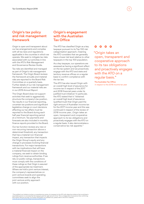## Origin's tax policy and risk management framework

Origin is open and transparent about our tax arrangements and complies with all tax laws and regulations applicable in the countries in which we operate. We seek to mitigate tax risks associated with our activities in line with the ATO's Risk Management and Governance Review Guide.

Tax risks are identified and managed as part of Origin's risk management framework. The Origin Board reviews the framework annually and material risks are reported to the Board Risk Committee on a quarterly basis. Further details of our risk management framework and our material risks are in our *2019 Annual Report*.

The Origin Board does not support activities that seek to aggressively structure the company's tax position. Tax results in our financial reporting, uncertain tax positions and significant legislative change or court decisions affecting our tax affairs must be reported to the Board during each half year financial reporting period at a minimum. Tax payments and forecasts are also included in monthly finance reports provided to the Board.

Our tax function reviews any new or non-recurring transaction above a determined threshold, any transaction that has a material non-financial impact, any transaction that impacts the Origin Group's equity and any change in processes involving financial transactions. For major transactions with tax implications that will have a material financial impact on the company, we seek to obtain binding rulings from revenue authorities. If we rely on public rulings, transactions must comply with the conditions of these rulings so that Origin is assured of the appropriate tax treatment. Where we hold a joint venture interest, the company's representatives on joint venture boards and operating committees seek to align the joint venture entity approach with our position.

## Origin's engagement with the Australian Tax Office

The ATO has classified Origin as a key taxpayer pursuant to its Top 100 risk categorisation approach, meaning the ATO considers that we generally have a lower risk level relative to other taxpayers in the top 100 population.

As a key taxpayer, our operations are assessed as having a significant effect on the tax system and we proactively engage with the ATO and state and territory revenue offices on a regular basis to confirm compliance with the tax law.

The ATO has also issued Origin with an overall high level of assurance for income tax in respect of the 2017 and 2018 financial years under its justified trust initiative.<sup>3</sup> In particular, the ATO stated that it: "obtained an overall high level of assurance (justified trust) that Origin paid the right amount of Australian income tax for the 2017 income year and this was continued in respect of the review of 2018 income year…Origin takes an open, transparent and cooperative approach to its tax obligations and proactively engages with the ATO on a regular basis. It also demonstrates a conservative tax risk appetite."

#### $0<sub>o</sub>$

"Origin takes an open, transparent and cooperative approach to its tax obligations and proactively engages with the ATO on a regular basis."

The Australian Tax Office in respect to the 2018 income tax year

<sup>s</sup>The justified trust initiative involves a comprehensive review of a taxpayer by the ATO with objective evidence that would lead a<br>reasonable person to conclude that the taxpayer paid the right amount of tax. This is a h www.ato.gov.au/business/large-business/justified-trust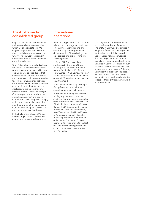## The Australian tax consolidated group

Origin has operations in Australia as well as several overseas countries, which are all subject to tax. We lodge a single Australian tax return that consolidates the results of our wholly-owned Australian resident companies, known as the Origin tax consolidated group.

Origin's tax return primarily discloses the income derived solely from our Australian operations as total income. The Origin Group subsidiaries that have operations outside of Australia are not required to lodge an Australian tax return. However, their activities are included within Origin's tax return, as an addition to the total income disclosed, to the extent they are taxed under the Controlled Foreign Company provisions, or where the central management and control is in Australia. These companies comply with the tax laws applicable to the countries in which they operate, are legitimate operating businesses and are not vehicles to minimise tax.

In the 2019 financial year, 99.2 per cent of Origin Group's income was earned from operations in Australia.

## International operations

All of the Origin Group's cross-border related party dealings are conducted on an arm's length basis and are supported by contemporaneous documentation. These dealings can be classified into the following two key categories:

1. Sale of LPG and associated appliances by the Origin Group to our group entities in American Samoa, Cook Islands, Fiji, Papua New Guinea (PNG), Samoa, Solomon Islands, Vanuatu and Vietnam, which operate LPG sale businesses in those countries;4 and

2. Insurance obtained by the Origin Group from our captive insurer subsidiary company in Singapore.

In addition to meeting the transfer pricing requirements under the Australian tax law, income generated from our international subsidiaries in Fiji, Cook Islands, American Samoa, Samoa, PNG, Singapore, Bermuda, Botswana, Chile, the Netherlands, New Zealand and the United States of America are generally taxable in Australia pursuant to the operation of Australia's Controlled Foreign Company tax rules or due to the fact that the central management and control of some of these entities is in Australia.

The Origin Group includes entities based in Bermuda and Singapore. The entity in Bermuda and entities in Singapore (other than the Singapore captive insurer subsidiary noted above) act as holding companies that the Origin Group acquired or established to undertake development activities in Southeast Asia and South America. To date, these entities have not generated any income. Following a significant reduction in oil prices, we discontinued our international exploration and geothermal activities related to these entities and will wind up these entities.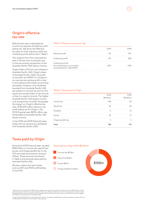## Origin's effective tax rate

Effective tax rate is calculated as income tax expense divided by profit before tax. We show the effective tax rates on both statutory profit and underlying profit before tax in Table 1.

The variance from the corporate tax rate of 30 per cent is primarily due to the accounting recognition of the Australia Pacific LNG equity income.

Origin holds a 37.5 per cent interest in Australia Pacific LNG. Origin's share of Australia Pacific LNG's net profit or loss after tax (NPAT) is included in our pre-tax accounting profit or loss in accordance with equity accounting principles. However, only dividends received from Australia Pacific LNG are subject to income tax and not the equity accounted share of net income or loss (i.e. equity income). The higher Australia Pacific LNG equity income is as a proportion of profit, the greater the impact on Origin's effective tax rate. Of \$1,278 million statutory net profit before tax for Origin in the 2019 financial year, \$632 million was attributable to Australia Pacific LNG equity income.

In the 2018 and 2019 financial years, Origin did not receive any dividends from Australia Pacific LNG.<sup>6</sup>

#### Table 1: Effective income tax rate

|                                                                                        | 2019 | 2018 |
|----------------------------------------------------------------------------------------|------|------|
| Statutory profit                                                                       | 5%   | O%5  |
| Underlying profit                                                                      | 11%  | 25%  |
| <b>Underlying Profit</b><br>(excluding equity accounted<br>Australia Pacific LNG NPAT) | 23%  | 29%  |

#### Table 2: Taxes paid by Origin

|                     | 2019        | 2018        |
|---------------------|-------------|-------------|
|                     | (\$million) | (\$million) |
| Income tax          | 108         | 35          |
| Payroll tax         | 35          | 42          |
| Royalties           |             | 13          |
| Excise              | 22          | 21          |
| Fringe benefits tax | 3           | 3           |
| Total               | 168         | 114         |

## Taxes paid by Origin

During the 2019 financial year, we paid \$168 million in income tax, payroll tax, excise, and fringe benefits tax to the ATO and state and territory revenue offices. These amounts are shown in Table 2 and exclude taxes paid by Australia Pacific LNG.

We also collect and remit taxes such as GST and PAYG withholding to the ATO.

#### Taxes paid by Origin 2019 (\$million)



° Based on income tax benefit of \$20 million (negative tax expense) and statutory profit before tax of \$201 million, Origin<br>prima facie has an effective tax rate of negative 10 per cent. Because effective tax rate is form that Origin is receiving tax from the government.

 $^6$  Origin received dividends from Australia Pacific LNG on mandatorily redeemable cumulative preference shares which are characterised as interest for accounting and tax purposes.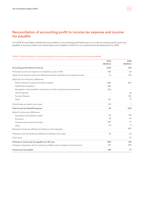## Reconciliation of accounting profit to income tax expense and income tax payable

Our *2019 Annual Report* details the reconciliation of accounting profit before tax to income tax expense and income tax payable. A summary table is provided below and is based on Note E to our audited financial statements for 2019.

#### Table 3: Reconciliation of accounting profit to income tax expense and income tax payable

|                                                                                        | 2019<br>(\$million) | 2018<br>(\$million) |
|----------------------------------------------------------------------------------------|---------------------|---------------------|
| Accounting profit before income tax                                                    | 1,278               | 201                 |
| Prima facie income tax expense on Australian tax rate of 30%                           | 383                 | 60                  |
| Adjust for tax exempt charity and difference between Australian and overseas tax rates | (1)                 | (19)                |
| Adjust for non-temporary differences                                                   |                     |                     |
| Share of results of equity accounted investees                                         | (188)               | (60)                |
| Capital loss recognition                                                               | (68)                |                     |
| Recognition of tax benefit for acquired out-of-the money financial instruments         | (29)                |                     |
| Lattice Disposal                                                                       |                     | 55                  |
| Acumen Disposal                                                                        |                     | (72)                |
| Other                                                                                  | (12)                | 15                  |
| (Over)/under provided in prior years                                                   | (21)                |                     |
| Total income tax (benefit)/expense                                                     | 64                  | (20)                |
| Adjust for temporary differences                                                       |                     |                     |
| Exploration and evaluation assets                                                      | 69                  | 136                 |
| Provisions                                                                             | 56                  | 44                  |
| Financial instruments at fair value                                                    | (26)                | 10                  |
| Other                                                                                  | (4)                 | 5                   |
| Reversal of temporary differences relating to entity disposals                         |                     | (66)                |
| Temporary and non-temporary differences relating to prior years                        | 49                  | 23                  |
| Other items                                                                            |                     | (7)                 |
| Estimate of current year tax payable as at 30 June                                     | 208                 | 125                 |
| Changes to temporary and non-temporary differences per lodged income tax return        | (12)                | (48)                |
| Current year tax payable                                                               | 196                 | 77                  |